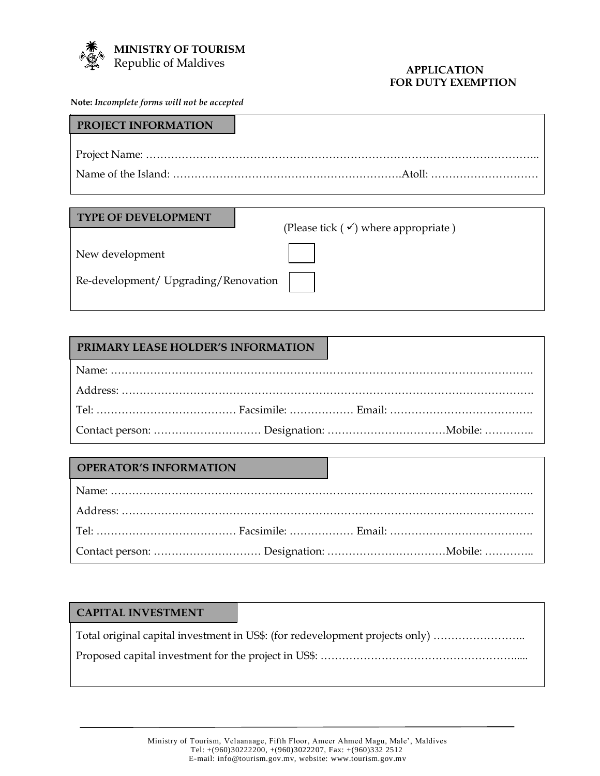

#### **APPLICATION FOR DUTY EXEMPTION**

**Note:** *Incomplete forms will not be accepted*

| <b>PROJECT INFORMATION</b> |  |
|----------------------------|--|
|                            |  |
|                            |  |
|                            |  |

#### **TYPE OF DEVELOPMENT**

(Please tick  $(\checkmark)$  where appropriate)

New development

Re-development/ Upgrading/Renovation

# **PRIMARY LEASE HOLDER'S INFORMATION**

## **OPERATOR'S INFORMATION**

| <b>CAPITAL INVESTMENT</b> |                                                                              |
|---------------------------|------------------------------------------------------------------------------|
|                           | Total original capital investment in US\$: (for redevelopment projects only) |
|                           |                                                                              |
|                           |                                                                              |